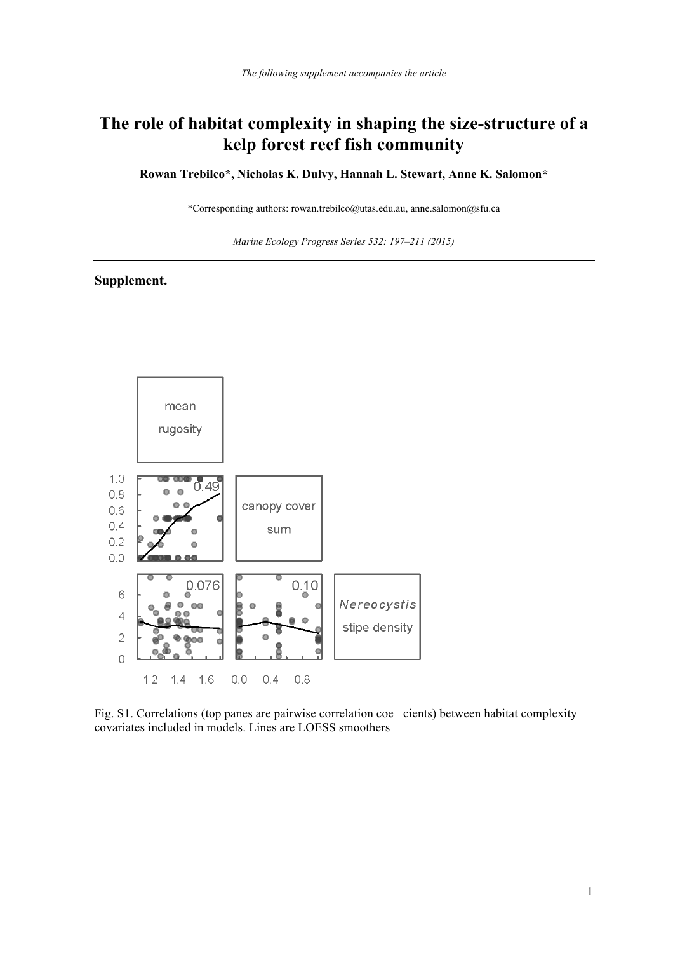## **The role of habitat complexity in shaping the size-structure of a kelp forest reef fish community**

**Rowan Trebilco\*, Nicholas K. Dulvy, Hannah L. Stewart, Anne K. Salomon\*** 

\*Corresponding authors: rowan.trebilco@utas.edu.au, anne.salomon@sfu.ca

*Marine Ecology Progress Series 532: 197–211 (2015)* 

## **Supplement.**



Fig. S1. Correlations (top panes are pairwise correlation coe cients) between habitat complexity covariates included in models. Lines are LOESS smoothers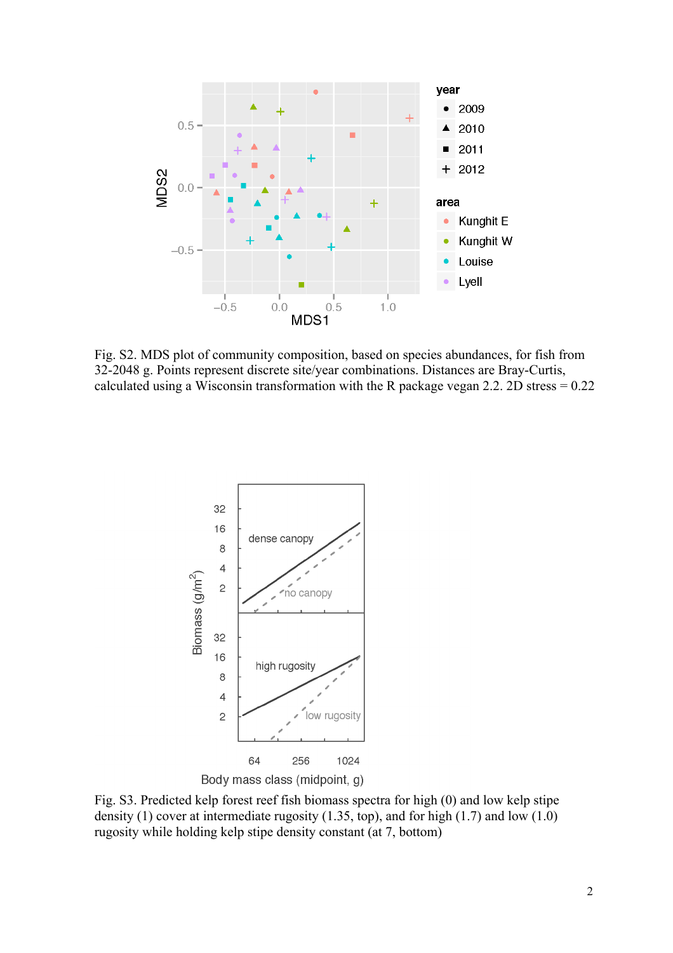

Fig. S2. MDS plot of community composition, based on species abundances, for fish from 32-2048 g. Points represent discrete site/year combinations. Distances are Bray-Curtis, calculated using a Wisconsin transformation with the R package vegan 2.2. 2D stress = 0.22



Fig. S3. Predicted kelp forest reef fish biomass spectra for high (0) and low kelp stipe density (1) cover at intermediate rugosity (1.35, top), and for high (1.7) and low (1.0) rugosity while holding kelp stipe density constant (at 7, bottom)